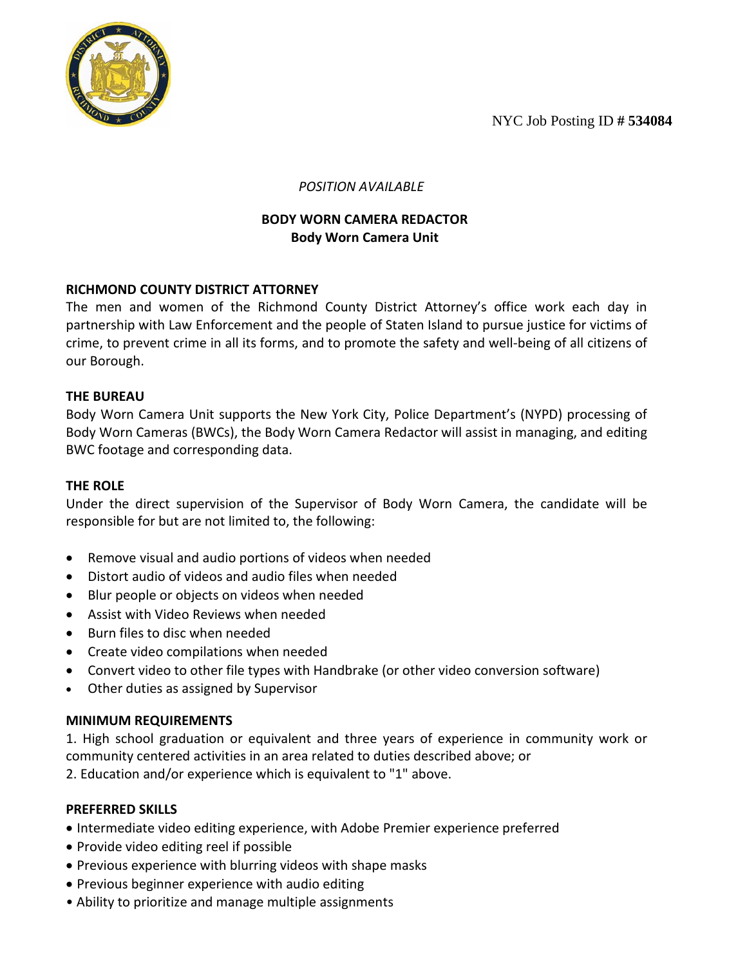NYC Job Posting ID **# 534084**



 *POSITION AVAILABLE*

# **BODY WORN CAMERA REDACTOR Body Worn Camera Unit**

## **RICHMOND COUNTY DISTRICT ATTORNEY**

The men and women of the Richmond County District Attorney's office work each day in partnership with Law Enforcement and the people of Staten Island to pursue justice for victims of crime, to prevent crime in all its forms, and to promote the safety and well-being of all citizens of our Borough.

## **THE BUREAU**

Body Worn Camera Unit supports the New York City, Police Department's (NYPD) processing of Body Worn Cameras (BWCs), the Body Worn Camera Redactor will assist in managing, and editing BWC footage and corresponding data.

## **THE ROLE**

Under the direct supervision of the Supervisor of Body Worn Camera, the candidate will be responsible for but are not limited to, the following:

- Remove visual and audio portions of videos when needed
- Distort audio of videos and audio files when needed
- Blur people or objects on videos when needed
- Assist with Video Reviews when needed
- Burn files to disc when needed
- Create video compilations when needed
- Convert video to other file types with Handbrake (or other video conversion software)
- Other duties as assigned by Supervisor

#### **MINIMUM REQUIREMENTS**

1. High school graduation or equivalent and three years of experience in community work or community centered activities in an area related to duties described above; or

2. Education and/or experience which is equivalent to "1" above.

#### **PREFERRED SKILLS**

- Intermediate video editing experience, with Adobe Premier experience preferred
- Provide video editing reel if possible
- Previous experience with blurring videos with shape masks
- Previous beginner experience with audio editing
- Ability to prioritize and manage multiple assignments